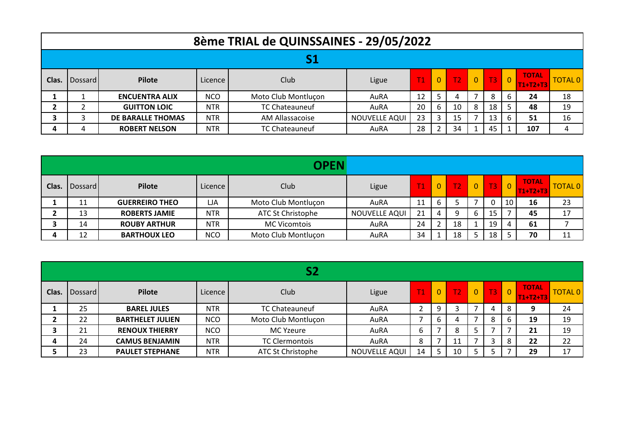|       | 8ème TRIAL de QUINSSAINES - 29/05/2022 |                          |            |                       |               |    |          |                |              |                |                |                            |                |  |
|-------|----------------------------------------|--------------------------|------------|-----------------------|---------------|----|----------|----------------|--------------|----------------|----------------|----------------------------|----------------|--|
|       |                                        |                          |            |                       |               |    |          |                |              |                |                |                            |                |  |
| Clas. | Dossard I                              | Pilote                   | Licence    | Club                  | Ligue         | T1 | $\Omega$ | T <sub>2</sub> | $\mathbf{0}$ | T <sub>3</sub> | $\overline{0}$ | <b>TOTAL</b><br>$T1+T2+T3$ | <b>TOTAL 0</b> |  |
|       |                                        | <b>ENCUENTRA ALIX</b>    | <b>NCO</b> | Moto Club Montluçon   | AuRA          | 12 |          | 4              |              | 8              | 6              | 24                         | 18             |  |
|       |                                        | <b>GUITTON LOIC</b>      | <b>NTR</b> | <b>TC Chateauneuf</b> | AuRA          | 20 | b        | 10             | 8            | 18             | 5              | 48                         | 19             |  |
|       |                                        | <b>DE BARALLE THOMAS</b> | <b>NTR</b> | AM Allassacoise       | NOUVELLE AQUI | 23 |          | 15             |              | 13             | 6              | 51                         | 16             |  |
|       | 4                                      | <b>ROBERT NELSON</b>     | <b>NTR</b> | TC Chateauneuf        | AuRA          | 28 |          | 34             |              | 45             |                | 107                        |                |  |

|              |         |                       |            | <b>OPEN</b>              |               |    |                |                |                |                |                |                            |         |
|--------------|---------|-----------------------|------------|--------------------------|---------------|----|----------------|----------------|----------------|----------------|----------------|----------------------------|---------|
| Clas.        | Dossard | Pilote                | Licence    | Club                     | Ligue         | T1 | $\overline{0}$ | T <sub>2</sub> | $\overline{0}$ | T <sub>3</sub> | $\overline{0}$ | <b>TOTAL</b><br>$T1+T2+T3$ | TOTAL 0 |
|              | 11      | <b>GUERREIRO THEO</b> | LJA        | Moto Club Montluçon      | AuRA          | 11 | b              |                |                | $\Omega$       | 10             | 16                         | 23      |
|              | 13      | <b>ROBERTS JAMIE</b>  | <b>NTR</b> | <b>ATC St Christophe</b> | NOUVELLE AQUI | 21 | 4              | Q              |                | 15             |                | 45                         | 17      |
|              | 14      | <b>ROUBY ARTHUR</b>   | <b>NTR</b> | <b>MC Vicomtois</b>      | AuRA          | 24 |                | 18             |                | 19             | 4              | 61                         |         |
| $\mathbf{a}$ | 12      | <b>BARTHOUX LEO</b>   | <b>NCO</b> | Moto Club Montluçon      | AuRA          | 34 |                | 18             |                | 18             |                | 70                         | 11      |

|       |                |                         |            | S2                    |               |    |             |                |              |    |                      |                            |                |
|-------|----------------|-------------------------|------------|-----------------------|---------------|----|-------------|----------------|--------------|----|----------------------|----------------------------|----------------|
| Clas. | <b>Dossard</b> | Pilote                  | Licence    | Club                  | Ligue         | T1 | $\mathbf 0$ | $\mathsf{T2}'$ | $\mathbf{0}$ | T3 | $\overline{\bullet}$ | <b>TOTAL</b><br>$T1+T2+T3$ | <b>TOTAL 0</b> |
|       | 25             | <b>BAREL JULES</b>      | <b>NTR</b> | <b>TC Chateauneuf</b> | AuRA          | 2  | 9           |                |              | 4  | 8                    | 9                          | 24             |
|       | 22             | <b>BARTHELET JULIEN</b> | <b>NCO</b> | Moto Club Montluçon   | AuRA          |    | b           | 4              |              | 8  | b                    | 19                         | 19             |
|       | 21             | <b>RENOUX THIERRY</b>   | <b>NCO</b> | <b>MC Yzeure</b>      | AuRA          | 6  |             | 8              |              |    |                      | 21                         | 19             |
| 4     | 24             | <b>CAMUS BENJAMIN</b>   | <b>NTR</b> | <b>TC Clermontois</b> | AuRA          | 8  |             | 11             |              | 3  | 8                    | 22                         | 22             |
|       | 23             | <b>PAULET STEPHANE</b>  | <b>NTR</b> | ATC St Christophe     | NOUVELLE AQUI | 14 |             | 10             |              | 5  |                      | 29                         | 17             |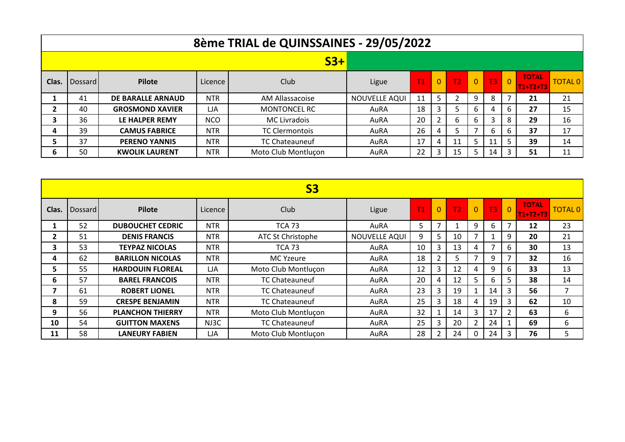|       | 8ème TRIAL de QUINSSAINES - 29/05/2022 |                          |            |                       |               |    |                |    |          |                   |          |                            |                |  |
|-------|----------------------------------------|--------------------------|------------|-----------------------|---------------|----|----------------|----|----------|-------------------|----------|----------------------------|----------------|--|
|       |                                        |                          |            | $S3+$                 |               |    |                |    |          |                   |          |                            |                |  |
| Clas. | Dossard                                | <b>Pilote</b>            | Licence    | Club                  | Ligue         | T1 | $\overline{0}$ | T2 | $\Omega$ | T <sub>3</sub>    | <b>O</b> | <b>TOTAL</b><br>$T1+T2+T3$ | <b>TOTAL 0</b> |  |
|       | 41                                     | <b>DE BARALLE ARNAUD</b> | <b>NTR</b> | AM Allassacoise       | NOUVELLE AQUI | 11 |                |    | 9        | 8                 |          | 21                         | 21             |  |
|       | 40                                     | <b>GROSMOND XAVIER</b>   | LJA        | <b>MONTONCEL RC</b>   | AuRA          | 18 |                | 5  | 6        | 4                 | 6        | 27                         | 15             |  |
| 3     | 36                                     | LE HALPER REMY           | <b>NCO</b> | <b>MC Livradois</b>   | AuRA          | 20 |                | 6  | 6        | $\mathbf{\Omega}$ | 8        | 29                         | 16             |  |
| 4     | 39                                     | <b>CAMUS FABRICE</b>     | <b>NTR</b> | <b>TC Clermontois</b> | AuRA          | 26 | 4              |    |          | 6                 | 6        | 37                         | 17             |  |
|       | 37                                     | <b>PERENO YANNIS</b>     | <b>NTR</b> | TC Chateauneuf        | AuRA          | 17 | 4              | 11 |          | 11                |          | 39                         | 14             |  |
| 6     | 50                                     | <b>KWOLIK LAURENT</b>    | <b>NTR</b> | Moto Club Montluçon   | AuRA          | 22 |                | 15 |          | 14                |          | 51                         | 11             |  |

|              | <b>S3</b> |                         |            |                       |               |    |          |                |                |                |                |                            |                |  |  |
|--------------|-----------|-------------------------|------------|-----------------------|---------------|----|----------|----------------|----------------|----------------|----------------|----------------------------|----------------|--|--|
| Clas.        | Dossard I | Pilote                  | Licence    | Club                  | Ligue         | T1 | $\Omega$ | T <sub>2</sub> | $\overline{0}$ | T <sub>3</sub> | $\mathbf{0}$   | <b>TOTAL</b><br>$T1+T2+T3$ | <b>TOTAL 0</b> |  |  |
|              | 52        | <b>DUBOUCHET CEDRIC</b> | <b>NTR</b> | <b>TCA 73</b>         | AuRA          | 5  |          |                | 9              | 6              | $\overline{7}$ | 12                         | 23             |  |  |
| $\mathbf{2}$ | 51        | <b>DENIS FRANCIS</b>    | <b>NTR</b> | ATC St Christophe     | NOUVELLE AQUI | 9  | 5        | 10             |                |                | 9              | 20                         | 21             |  |  |
| 3            | 53        | <b>TEYPAZ NICOLAS</b>   | <b>NTR</b> | <b>TCA 73</b>         | AuRA          | 10 | 3        | 13             | 4              | 7              | 6              | 30                         | 13             |  |  |
| 4            | 62        | <b>BARILLON NICOLAS</b> | <b>NTR</b> | <b>MC Yzeure</b>      | AuRA          | 18 |          | 5              | ⇁              | 9              | $\overline{7}$ | 32                         | 16             |  |  |
| 5.           | 55        | <b>HARDOUIN FLOREAL</b> | LJA        | Moto Club Montluçon   | AuRA          | 12 | 3        | 12             | 4              | 9              | 6              | 33                         | 13             |  |  |
| 6            | 57        | <b>BAREL FRANCOIS</b>   | <b>NTR</b> | TC Chateauneuf        | AuRA          | 20 | 4        | 12             | 5.             | 6              | 5              | 38                         | 14             |  |  |
|              | 61        | <b>ROBERT LIONEL</b>    | <b>NTR</b> | <b>TC Chateauneuf</b> | AuRA          | 23 | 3        | 19             |                | 14             | 3              | 56                         | $\overline{7}$ |  |  |
| 8            | 59        | <b>CRESPE BENJAMIN</b>  | <b>NTR</b> | TC Chateauneuf        | AuRA          | 25 | 3        | 18             | 4              | 19             | 3              | 62                         | 10             |  |  |
| 9            | 56        | <b>PLANCHON THIERRY</b> | <b>NTR</b> | Moto Club Montluçon   | AuRA          | 32 |          | 14             | 3              | 17             | 2              | 63                         | 6              |  |  |
| 10           | 54        | <b>GUITTON MAXENS</b>   | NJ3C       | TC Chateauneuf        | AuRA          | 25 | 3        | 20             |                | 24             |                | 69                         | 6              |  |  |
| 11           | 58        | <b>LANEURY FABIEN</b>   | LJA        | Moto Club Montluçon   | AuRA          | 28 |          | 24             | 0              | 24             | 3              | 76                         | 5              |  |  |